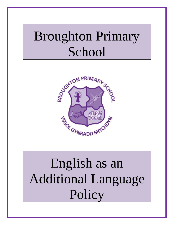# Broughton Primary School



# English as an Additional Language **Policy**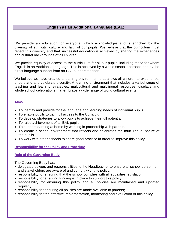# **English as an Additional Language (EAL)**

We provide an education for everyone, which acknowledges and is enriched by the diversity of ethnicity, culture and faith of our pupils. We believe that the curriculum must reflect this diversity and that successful education is achieved by sharing the experiences and cultural backgrounds of all children.

We provide equality of access to the curriculum for all our pupils, including those for whom English is an Additional Language. This is achieved by a whole school approach and by the direct language support from an EAL support teacher.

We believe we have created a learning environment that allows all children to experience, understand and celebrate diversity. A learning environment that includes a varied range of teaching and learning strategies, multicultural and multilingual resources, displays and whole school celebrations that embrace a wide range of world cultural events.

# **Aims**

- To identify and provide for the language and learning needs of individual pupils.
- To enable pupils to gain full access to the Curriculum.
- To develop strategies to allow pupils to achieve their full potential.
- To raise achievement of all EAL pupils.
- To support learning at home by working in partnership with parents.
- To create a school environment that reflects and celebrates the multi-lingual nature of the pupils.
- To work with other schools to share good practice in order to improve this policy.

**Responsibility for the Policy and Procedure**

#### **Role of the Governing Body**

The Governing Body has:

- delegated powers and responsibilities to the Headteacher to ensure all school personnel and stakeholders are aware of and comply with this policy;
- responsibility for ensuring that the school complies with all equalities legislation;
- **F** responsibility for ensuring funding is in place to support this policy;
- responsibility for ensuring this policy and all policies are maintained and updated regularly;
- responsibility for ensuring all policies are made available to parents;
- responsibility for the effective implementation, monitoring and evaluation of this policy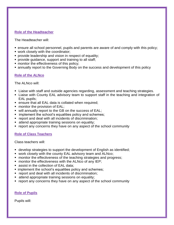#### **Role of the Headteacher**

The Headteacher will:

- ensure all school personnel, pupils and parents are aware of and comply with this policy;
- **work closely with the coordinator;**
- **provide leadership and vision in respect of equality;**
- **provide guidance, support and training to all staff;**
- **nonitor the effectiveness of this policy;**
- annually report to the Governing Body on the success and development of this policy

# **Role of the ALNco**

#### The ALNco will:

- **EXT** Liaise with staff and outside agencies regarding, assessment and teaching strategies.
- Liaise with County EAL advisory team to support staff in the teaching and integration of EAL pupils;
- **EXT** ensure that all EAL data is collated when required;
- **numitor the provision of EAL;**
- will annually report to the GB on the success of EAL;
- **implement the school's equalities policy and schemes;**
- **Periorm** report and deal with all incidents of discrimination;
- **E** attend appropriate training sessions on equality;
- report any concerns they have on any aspect of the school community

# **Role of Class Teachers**

Class teachers will:

- develop strategies to support the development of English as identified;
- work closely with the county EAL advisory team and ALNco;
- **number 1** monitor the effectiveness of the teaching strategies and progress;
- **number 1** monitor the effectiveness with the ALNco of any IEP;
- **assist in the collection of EAL data;**
- **implement the school's equalities policy and schemes;**
- **Perior 1** report and deal with all incidents of discrimination;
- **EXTEND Appropriate training sessions on equality;**
- **•** report any concerns they have on any aspect of the school community

# **Role of Pupils**

Pupils will: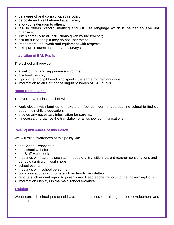- **be aware of and comply with this policy**
- **be polite and well behaved at all times;**
- **show consideration to others;**
- talk to others without shouting and will use language which is neither abusive nor offensive;
- **I** listen carefully to all instructions given by the teacher;
- **ask for further help if they do not understand;**
- **treat others, their work and equipment with respect;**
- take part in questionnaires and surveys

#### **Integration of EAL Pupils**

The school will provide:

- a welcoming and supportive environment;
- a school mentor;
- **if possible, a pupil friend who speaks the same mother language;**
- **Example 1** information to all staff on the linguistic needs of EAL pupils

#### **Home-School Links**

The ALNco and classteacher will:

- work closely with families to make them feel confident in approaching school to find out about their child's education;
- **provide any necessary information for parents;**
- **F** if necessary, organise the translation of all school communications

#### **Raising Awareness of this Policy**

We will raise awareness of this policy via:

- the School Prospectus
- the school website
- the Staff Handbook
- meetings with parents such as introductory, transition, parent-teacher consultations and periodic curriculum workshops
- school events
- **nemaller** meetings with school personnel
- communications with home such as termly newsletters
- reports such annual report to parents and Headteacher reports to the Governing Body
- **information displays in the main school entrance**

#### **Training**

We ensure all school personnel have equal chances of training, career development and promotion.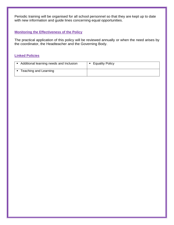Periodic training will be organised for all school personnel so that they are kept up to date with new information and guide lines concerning equal opportunities.

# **Monitoring the Effectiveness of the Policy**

The practical application of this policy will be reviewed annually or when the need arises by the coordinator, the Headteacher and the Governing Body.

# **Linked Policies**

| Additional learning needs and Inclusion | • Equality Policy |
|-----------------------------------------|-------------------|
| Teaching and Learning                   |                   |